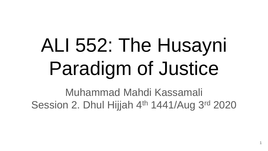# ALI 552: The Husayni Paradigm of Justice

Muhammad Mahdi Kassamali Session 2. Dhul Hijjah 4<sup>th</sup> 1441/Aug 3<sup>rd</sup> 2020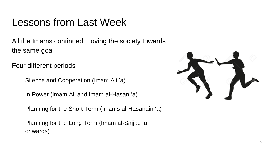# Lessons from Last Week

All the Imams continued moving the society towards the same goal

Four different periods

Silence and Cooperation (Imam Ali 'a)

In Power (Imam Ali and Imam al-Hasan 'a)

Planning for the Short Term (Imams al-Hasanain 'a)

Planning for the Long Term (Imam al-Sajjad 'a onwards)

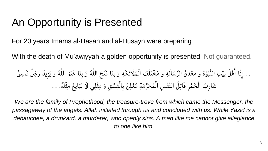# An Opportunity is Presented

For 20 years Imams al-Hasan and al-Husayn were preparing

With the death of Mu'awiyyah a golden opportunity is presented. Not guaranteed.

. . إِنَّا أَهْلُ بَيّتِ النُّبُوَّةِ وَ مَعُلِنُ الَرِّسَالَةِ وَ مُخْتَلَفُ الُمَلَارَّكِكَةِ وَ بِنَا فَتَحَ اللَّهُ وَ بِنَا خَتَمَ اللَّهُ وَ يَزِيدُ رَجُلُ فَاسِقُ
$$
\frac{1}{2} \int_{-\infty}^{\infty} \frac{1}{2} \int_{-\infty}^{\infty} \frac{1}{2} \left[ \int_{-\infty}^{\infty} \frac{1}{2} \left( \int_{-\infty}^{\infty} \frac{1}{2} \left( \int_{-\infty}^{\infty} \frac{1}{2} \left( \int_{-\infty}^{\infty} \frac{1}{2} \right) \right) \left( \int_{-\infty}^{\infty} \frac{1}{2} \left( \int_{-\infty}^{\infty} \frac{1}{2} \left( \int_{-\infty}^{\infty} \frac{1}{2} \right) \right) \left( \int_{-\infty}^{\infty} \frac{1}{2} \left( \int_{-\infty}^{\infty} \frac{1}{2} \left( \int_{-\infty}^{\infty} \frac{1}{2} \right) \right) \left( \int_{-\infty}^{\infty} \frac{1}{2} \left( \int_{-\infty}^{\infty} \frac{1}{2} \left( \int_{-\infty}^{\infty} \frac{1}{2} \right) \right) \left( \int_{-\infty}^{\infty} \frac{1}{2} \left( \int_{-\infty}^{\infty} \frac{1}{2} \left( \int_{-\infty}^{\infty} \frac{1}{2} \right) \right) \left( \int_{-\infty}^{\infty} \frac{1}{2} \left( \int_{-\infty}^{\infty} \frac{1}{2} \right) \right) \left( \int_{-\infty}^{\infty} \frac{1}{2} \left( \int_{-\infty}^{\infty} \frac{1}{2} \left( \int_{-\infty}^{\infty} \frac{1}{2} \right) \right) \left( \int_{-\infty}^{\infty} \frac{1}{2} \left( \int_{-\infty}^{\infty} \frac{1}{2} \left( \int_{-\infty}^{\infty} \frac{1}{2} \right) \right) \
$$

*We are the family of Prophethood, the treasure-trove from which came the Messenger, the passageway of the angels. Allah initiated through us and concluded with us. While Yazid is a debauchee, a drunkard, a murderer, who openly sins. A man like me cannot give allegiance to one like him.*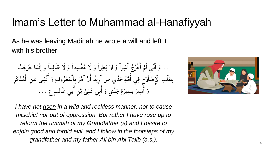### Imam's Letter to Muhammad al-Hanafiyyah

As he was leaving Madinah he wrote a will and left it with his brother

...وَ أَنِّي لَمْ أَخْرُجْ أَشِراً وَ لَا بَطِراً وَ لَا مُفْسِداً وَ لَا ظَالِماً وَ إِنَّمَا خَرَجْتُ ِّزِ َ إ ّة<br>♦ ءَ<br>| َ إ َ ب َ  $\lambda$ ِّبَّ لِطَلَبِ الْإِصْلَاحِ فِي أُمَّةِ جَدِّي ص أُرِيدُ أَنْ آمُرَ بِالْمَعْرُوفِ وَ أَنْهَى عَنِ الْمُنْكَرِ ن<br>پر أأ ر<br>ل š<br>| إ ءَ<br>ا  $\lambda$ ×<br>لا نْ أ ×<br>م َ وَ أُسِيرَ بِسِيرَةِ جَدِّي وَ أَبِي عَلِيٍّ بْنِ أَبِي طَالِبٍ عِ …. بَح<br>|<br>| َ ِّ ِ<br>ب َ َ إ ِّ نم<br>|<br>|



*I have not risen in a wild and reckless manner, nor to cause mischief nor out of oppression. But rather I have rose up to reform the ummah of my Grandfather (s) and I desire to enjoin good and forbid evil, and I follow in the footsteps of my grandfather and my father Ali bin Abi Talib (a.s.).* <sup>4</sup>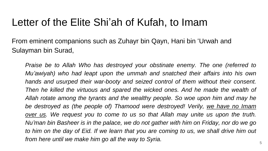### Letter of the Elite Shi'ah of Kufah, to Imam

From eminent companions such as Zuhayr bin Qayn, Hani bin 'Urwah and Sulayman bin Surad,

*Praise be to Allah Who has destroyed your obstinate enemy. The one (referred to Mu'awiyah) who had leapt upon the ummah and snatched their affairs into his own hands and usurped their war-booty and seized control of them without their consent. Then he killed the virtuous and spared the wicked ones. And he made the wealth of Allah rotate among the tyrants and the wealthy people. So woe upon him and may he be destroyed as (the people of) Thamood were destroyed! Verily, we have no Imam over us. We request you to come to us so that Allah may unite us upon the truth. Nu'man bin Basheer is in the palace, we do not gather with him on Friday, nor do we go* to him on the day of Eid. If we learn that you are coming to us, we shall drive him out *from here until we make him go all the way to Syria.*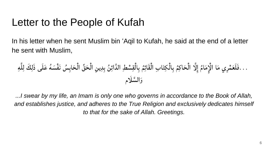### Letter to the People of Kufah

In his letter when he sent Muslim bin 'Aqil to Kufah, he said at the end of a letter he sent with Muslim,

َ ْم ... ِري َ فَلَع ا م ام َ م ِ ا َّ ل إلْا ِإ َ إْل ا ِب َحا ِكم ِباْل ِكت ْس ِط إْل َقائِم ن ِباْلِق دإئ ي ِن ِ ق ِب ِد إلَّ ِّ َح س إْل َحاِب ه إْل َك َع نَْف لَى َس َذلِ ل ِه لِ َّ َّسلَام إل َ و

*...I swear by my life, an Imam is only one who governs in accordance to the Book of Allah, and establishes justice, and adheres to the True Religion and exclusively dedicates himself to that for the sake of Allah. Greetings.*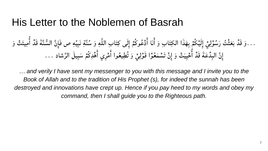#### His Letter to the Noblemen of Basrah

...وَ قَدْ بَعَثْتُ رَسُوْلِيْ إِلَيْكُمْ بِهَذَا الكِتَابِ وَ أَنَا أَدْعُوكُمْ إِلَى كِتَابِ اللَّهِ وَ سُنَّةِ نَبِيِّهِ ص فَإِنَّ السُّنَّةَ قَدْ أَمِيتَتْ وَ أأ أ ن<br>نا اِ ِ<br>ِ ن<br>أ بر<br>پ ا<br>ا  $\ddot{\bullet}$ ×<br>ع َ إ أ َ إ أ ە<br>∙ ۠<br>؞ َل ل بر<br>مە  $\frac{1}{2}$ إِنَّ البِدْعَةَ قَدْ أَحْيِيَتْ وَ إِنْ تَسْمَعُوْا قَوْلِيْ وَ تُطِيعُوا أَمْرِي أَهْدِكُمْ سَبِيلَ الرَّشاد ... ້ $\ddot{\cdot}$ إ أأ إ َ تَ ់<br>š بر<br>نہ بو<br>ت ءَ<br>ا ¤ْ **ّ** َ

*… and verily I have sent my messenger to you with this message and I invite you to the Book of Allah and to the tradition of His Prophet (s), for indeed the sunnah has been destroyed and innovations have crept up. Hence if you pay heed to my words and obey my command, then I shall guide you to the Righteous path.*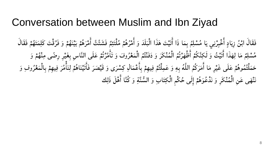#### Conversation between Muslim and Ibn Ziyad

فَقَالَ ابْنُ زِيَادٍ أَخْبِرْنِي يَا مُسْلِمُ بِمَا ذَا أَتَيْتَ هَذَا الْبَلَدَ وَ أَمْرُهُمْ مُلْتَئِمٌ فَشَتَّتَّ أَمْرَهُمْ بَيْنَهُمْ وَ فَرَّقْتَ كَلِمَتَهُمْ فَقَالَ ز<br>نِ ە<br>ز بخ<br>|<br>|  $\frac{1}{2}$ ي ∕<br>◆ بخ<br>|<br>| َ  $\ddot{\bullet}$ ×<br>فر نم<br>|<br>| إ <sup>≯</sup><br>←  $\tilde{a}$ ž **ّ** ءَ<br>| إ  $\ddot{\mathbf{u}}$  $\frac{1}{2}$ ب  $\ddot{\bullet}$ ن<br>ز **ّ**  $\tilde{\bm{z}}$  $*$ مُسْلِمٌ مَا لِهَذَا أَتَيْتُ وَ لَكِنَّكُمْ أَظْهَرْتُمُ الْمُنْكَرَ وَ دَفَنْتُمُ الْمَعْرُوفَ وَ تَأْمَّرْتُمْ عَلَى النَّاسِ بِغَيْرِ رِضًى مِنْهُمْ وَ ءَ<br>ا إ َ ّة<br>♦  $\frac{1}{2}$ بر<br>ن ت **ّ** م<br>ا إ َ َ  $*$ بر<br>ر َ  $\ddot{\bullet}$ بر<br>ن بو<br>ت **ّ** ن<br>تم ءَ<br>|  $\ddot{\cdot}$  $\tilde{\mathbf{z}}$ ّة<br>♦ á َ  $\ddot{\bullet}$ حَمَلْتُمُوهُمْ عَلَى غَيْرِ مَا أَمَرَكُمُ اللَّهُ بِهِ وَ عَمِلْتُمْ فِيهِمْ بِأَعْمَالِ كِسْرَى وَ قَيْصَرَ فَأَتَيْنَاهُمْ لِنَأْمُرَ فِيهِمْ بِالْمَعْرُوفِ وَ ×<br>فر بر<br>م  $\frac{1}{2}$  $\tilde{\bm{z}}$  $\frac{1}{\sqrt{2}}$ ءَ<br>| ا<br>ا َ  $\ddot{\bullet}$  $\ddot{z}$  $\ddot{\bullet}$  $\tilde{\bm{\lambda}}$ ءَ<br>| َ َ  $\ddot{\bullet}$ ّٰٰٰ ءَ<br>|<br>|  $\tilde{a}$ َ بر<br>م <u>مر</u><br>( بر<br>ر َ نَنْهَى عَنِ الْمُنْكَرِ وَ نَدْعُوَهُمْ إِلَى حُكْمِ الْكِتَابِ وَ السُّنَّةِ وَ كُنَّا أَهْلَ ذَلِك َ ە<br>◆ ×<br>ع š َ  $\ddot{\cdot}$  $\ddot{\cdot}$ نم<br>|<br>|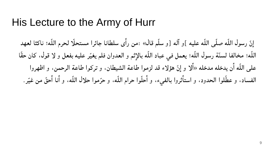#### His Lecture to the Army of Hurr

نّ رسول اللّه صلّى اللّه عليه ]و آله [و سلّم قال» :من رأى سلطانا جائرا مستحلّا لحرم اللّه؛ ناكثا لعهد إ أ اللّه؛ مخالفا لسنّة رسول اللّه؛ يعمل في عباد اللّه بالإِثم و العدوان فلم يغيّر عليه بفعل و لا قول، كان حقّا  $\ddot{\mathbf{r}}$ على اللّه أن يدخله مدخله «ألا و إنّ هؤلاء قد لزموا طاعة الشيطان، و تركوا طاعة الرحمن، و اظهروا أ أ إ الفساد، و عطُّلوا الحدود، و استأثروا بالفيء، و أُحلُّوا حرام اللّه، و حرّموا حلال اللّه، و أنا أحقّ من غيّر. ء<br>| أ ں<br>ز أ أ  $\ddot{\mathbf{r}}$